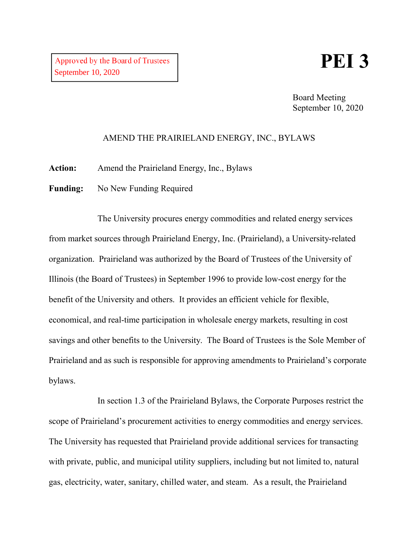## **PEI 3**

Board Meeting September 10, 2020

## AMEND THE PRAIRIELAND ENERGY, INC., BYLAWS

**Action:** Amend the Prairieland Energy, Inc., Bylaws

Funding: No New Funding Required

The University procures energy commodities and related energy services from market sources through Prairieland Energy, Inc. (Prairieland), a University-related organization. Prairieland was authorized by the Board of Trustees of the University of Illinois (the Board of Trustees) in September 1996 to provide low-cost energy for the benefit of the University and others. It provides an efficient vehicle for flexible, economical, and real-time participation in wholesale energy markets, resulting in cost savings and other benefits to the University. The Board of Trustees is the Sole Member of Prairieland and as such is responsible for approving amendments to Prairieland's corporate bylaws.

In section 1.3 of the Prairieland Bylaws, the Corporate Purposes restrict the scope of Prairieland's procurement activities to energy commodities and energy services. The University has requested that Prairieland provide additional services for transacting with private, public, and municipal utility suppliers, including but not limited to, natural gas, electricity, water, sanitary, chilled water, and steam. As a result, the Prairieland